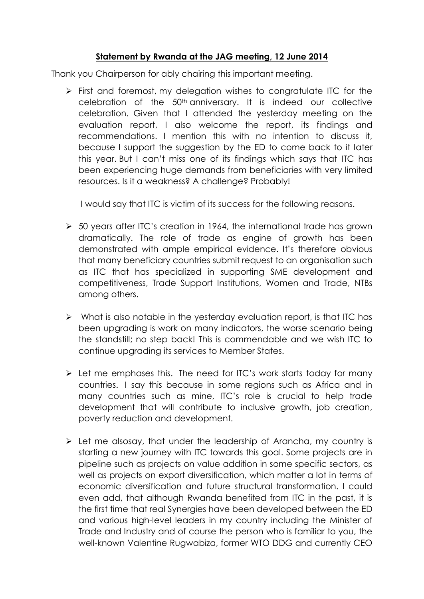## **Statement by Rwanda at the JAG meeting, 12 June 2014**

Thank you Chairperson for ably chairing this important meeting.

 $\triangleright$  First and foremost, my delegation wishes to congratulate ITC for the celebration of the 50th anniversary. It is indeed our collective celebration. Given that I attended the yesterday meeting on the evaluation report, I also welcome the report, its findings and recommendations. I mention this with no intention to discuss it, because I support the suggestion by the ED to come back to it later this year. But I can't miss one of its findings which says that ITC has been experiencing huge demands from beneficiaries with very limited resources. Is it a weakness? A challenge? Probably!

I would say that ITC is victim of its success for the following reasons.

- $\geq$  50 years after ITC's creation in 1964, the international trade has grown dramatically. The role of trade as engine of growth has been demonstrated with ample empirical evidence. It's therefore obvious that many beneficiary countries submit request to an organisation such as ITC that has specialized in supporting SME development and competitiveness, Trade Support Institutions, Women and Trade, NTBs among others.
- $\triangleright$  What is also notable in the yesterday evaluation report, is that ITC has been upgrading is work on many indicators, the worse scenario being the standstill; no step back! This is commendable and we wish ITC to continue upgrading its services to Member States.
- $\triangleright$  Let me emphases this. The need for ITC's work starts today for many countries. I say this because in some regions such as Africa and in many countries such as mine, ITC's role is crucial to help trade development that will contribute to inclusive growth, job creation, poverty reduction and development.
- $\triangleright$  Let me alsosay, that under the leadership of Arancha, my country is starting a new journey with ITC towards this goal. Some projects are in pipeline such as projects on value addition in some specific sectors, as well as projects on export diversification, which matter a lot in terms of economic diversification and future structural transformation. I could even add, that although Rwanda benefited from ITC in the past, it is the first time that real Synergies have been developed between the ED and various high-level leaders in my country including the Minister of Trade and Industry and of course the person who is familiar to you, the well-known Valentine Rugwabiza, former WTO DDG and currently CEO